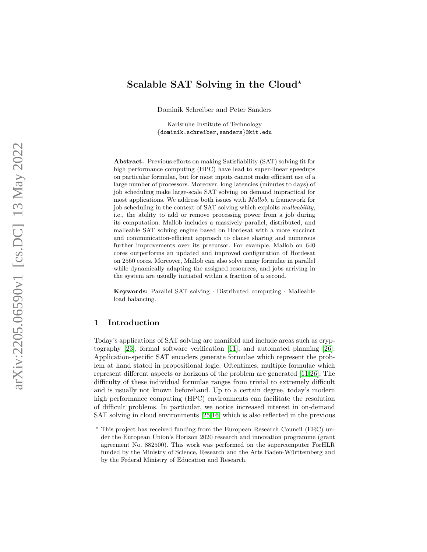# Scalable SAT Solving in the Cloud\*

Dominik Schreiber and Peter Sanders

Karlsruhe Institute of Technology {dominik.schreiber,sanders }@kit.edu

Abstract. Previous efforts on making Satisfiability (SAT) solving fit for high performance computing (HPC) have lead to super-linear speedups on particular formulae, but for most inputs cannot make efficient use of a large number of processors. Moreover, long latencies (minutes to days) of job scheduling make large-scale SAT solving on demand impractical for most applications. We address both issues with Mallob, a framework for job scheduling in the context of SAT solving which exploits malleability, i.e., the ability to add or remove processing power from a job during its computation. Mallob includes a massively parallel, distributed, and malleable SAT solving engine based on Hordesat with a more succinct and communication-efficient approach to clause sharing and numerous further improvements over its precursor. For example, Mallob on 640 cores outperforms an updated and improved configuration of Hordesat on 2560 cores. Moreover, Mallob can also solve many formulae in parallel while dynamically adapting the assigned resources, and jobs arriving in the system are usually initiated within a fraction of a second.

Keywords: Parallel SAT solving · Distributed computing · Malleable load balancing.

### 1 Introduction

Today's applications of SAT solving are manifold and include areas such as cryptography [\[23\]](#page-16-0), formal software verification [\[11\]](#page-15-0), and automated planning [\[26\]](#page-16-1). Application-specific SAT encoders generate formulae which represent the problem at hand stated in propositional logic. Oftentimes, multiple formulae which represent different aspects or horizons of the problem are generated [\[11,](#page-15-0)[26\]](#page-16-1). The difficulty of these individual formulae ranges from trivial to extremely difficult and is usually not known beforehand. Up to a certain degree, today's modern high performance computing (HPC) environments can facilitate the resolution of difficult problems. In particular, we notice increased interest in on-demand SAT solving in cloud environments [\[25,](#page-16-2)[16\]](#page-15-1) which is also reflected in the previous

<sup>?</sup> This project has received funding from the European Research Council (ERC) under the European Union's Horizon 2020 research and innovation programme (grant agreement No. 882500). This work was performed on the supercomputer ForHLR funded by the Ministry of Science, Research and the Arts Baden-Württemberg and by the Federal Ministry of Education and Research.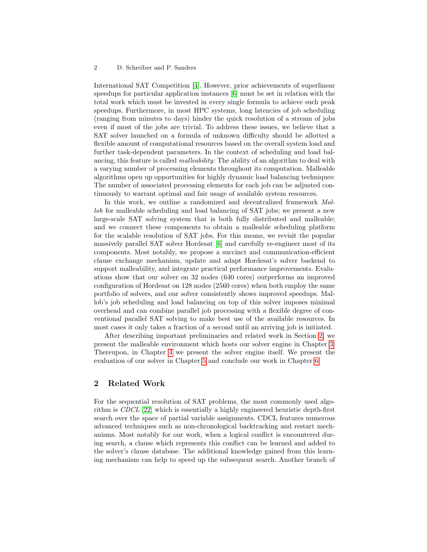International SAT Competition [\[4\]](#page-15-2). However, prior achievements of superlinear speedups for particular application instances [\[6\]](#page-15-3) must be set in relation with the total work which must be invested in every single formula to achieve such peak speedups. Furthermore, in most HPC systems, long latencies of job scheduling (ranging from minutes to days) hinder the quick resolution of a stream of jobs even if most of the jobs are trivial. To address these issues, we believe that a SAT solver launched on a formula of unknown difficulty should be allotted a flexible amount of computational resources based on the overall system load and further task-dependent parameters. In the context of scheduling and load balancing, this feature is called malleability: The ability of an algorithm to deal with a varying number of processing elements throughout its computation. Malleable algorithms open up opportunities for highly dynamic load balancing techniques: The number of associated processing elements for each job can be adjusted continuously to warrant optimal and fair usage of available system resources.

In this work, we outline a randomized and decentralized framework Mallob for malleable scheduling and load balancing of SAT jobs; we present a new large-scale SAT solving system that is both fully distributed and malleable; and we connect these components to obtain a malleable scheduling platform for the scalable resolution of SAT jobs. For this means, we revisit the popular massively parallel SAT solver Hordesat [\[6\]](#page-15-3) and carefully re-engineer most of its components. Most notably, we propose a succinct and communication-efficient clause exchange mechanism, update and adapt Hordesat's solver backend to support malleability, and integrate practical performance improvements. Evaluations show that our solver on 32 nodes (640 cores) outperforms an improved configuration of Hordesat on 128 nodes (2560 cores) when both employ the same portfolio of solvers, and our solver consistently shows improved speedups. Mallob's job scheduling and load balancing on top of this solver imposes minimal overhead and can combine parallel job processing with a flexible degree of conventional parallel SAT solving to make best use of the available resources. In most cases it only takes a fraction of a second until an arriving job is initiated.

After describing important preliminaries and related work in Section [2,](#page-1-0) we present the malleable environment which hosts our solver engine in Chapter [3.](#page-3-0) Thereupon, in Chapter [4](#page-4-0) we present the solver engine itself. We present the evaluation of our solver in Chapter [5](#page-8-0) and conclude our work in Chapter [6.](#page-14-0)

### <span id="page-1-0"></span>2 Related Work

For the sequential resolution of SAT problems, the most commonly used algorithm is CDCL [\[22\]](#page-16-3) which is essentially a highly engineered heuristic depth-first search over the space of partial variable assignments. CDCL features numerous advanced techniques such as non-chronological backtracking and restart mechanisms. Most notably for our work, when a logical conflict is encountered during search, a clause which represents this conflict can be learned and added to the solver's clause database. The additional knowledge gained from this learning mechanism can help to speed up the subsequent search. Another branch of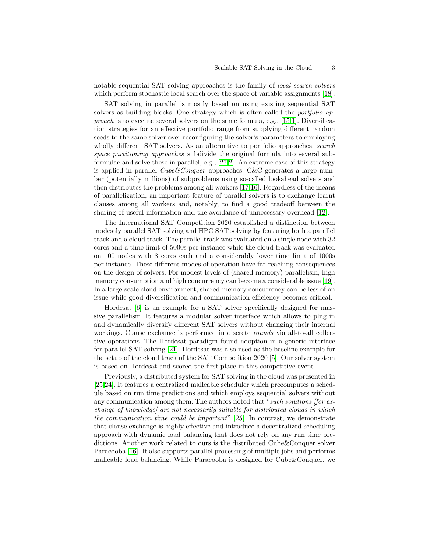notable sequential SAT solving approaches is the family of local search solvers which perform stochastic local search over the space of variable assignments [\[18\]](#page-15-4).

SAT solving in parallel is mostly based on using existing sequential SAT solvers as building blocks. One strategy which is often called the *portfolio ap*proach is to execute several solvers on the same formula, e.g., [\[15,](#page-15-5)[1\]](#page-15-6). Diversification strategies for an effective portfolio range from supplying different random seeds to the same solver over reconfiguring the solver's parameters to employing wholly different SAT solvers. As an alternative to portfolio approaches, *search* space partitioning approaches subdivide the original formula into several subformulae and solve these in parallel, e.g., [\[27](#page-16-4)[,2\]](#page-15-7). An extreme case of this strategy is applied in parallel *Cube*&Conquer approaches: C&C generates a large number (potentially millions) of subproblems using so-called lookahead solvers and then distributes the problems among all workers [\[17,](#page-15-8)[16\]](#page-15-1). Regardless of the means of parallelization, an important feature of parallel solvers is to exchange learnt clauses among all workers and, notably, to find a good tradeoff between the sharing of useful information and the avoidance of unnecessary overhead [\[12\]](#page-15-9).

The International SAT Competition 2020 established a distinction between modestly parallel SAT solving and HPC SAT solving by featuring both a parallel track and a cloud track. The parallel track was evaluated on a single node with 32 cores and a time limit of 5000s per instance while the cloud track was evaluated on 100 nodes with 8 cores each and a considerably lower time limit of 1000s per instance. These different modes of operation have far-reaching consequences on the design of solvers: For modest levels of (shared-memory) parallelism, high memory consumption and high concurrency can become a considerable issue [\[19\]](#page-15-10). In a large-scale cloud environment, shared-memory concurrency can be less of an issue while good diversification and communication efficiency becomes critical.

Hordesat [\[6\]](#page-15-3) is an example for a SAT solver specifically designed for massive parallelism. It features a modular solver interface which allows to plug in and dynamically diversify different SAT solvers without changing their internal workings. Clause exchange is performed in discrete *rounds* via all-to-all collective operations. The Hordesat paradigm found adoption in a generic interface for parallel SAT solving [\[21\]](#page-16-5). Hordesat was also used as the baseline example for the setup of the cloud track of the SAT Competition 2020 [\[5\]](#page-15-11). Our solver system is based on Hordesat and scored the first place in this competitive event.

Previously, a distributed system for SAT solving in the cloud was presented in [\[25](#page-16-2)[,24\]](#page-16-6). It features a centralized malleable scheduler which precomputes a schedule based on run time predictions and which employs sequential solvers without any communication among them: The authors noted that "such solutions for exchange of knowledge] are not necessarily suitable for distributed clouds in which the communication time could be important" [\[25\]](#page-16-2). In contrast, we demonstrate that clause exchange is highly effective and introduce a decentralized scheduling approach with dynamic load balancing that does not rely on any run time predictions. Another work related to ours is the distributed Cube&Conquer solver Paracooba [\[16\]](#page-15-1). It also supports parallel processing of multiple jobs and performs malleable load balancing. While Paracooba is designed for Cube&Conquer, we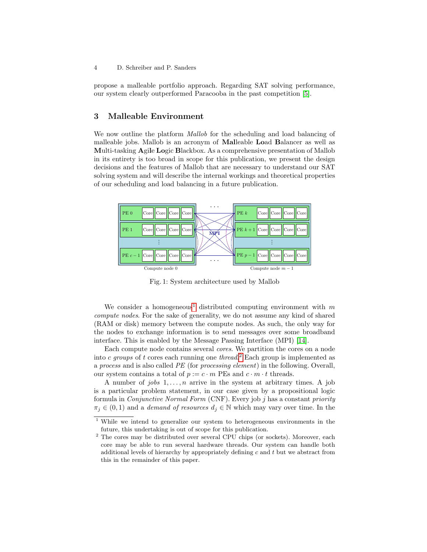propose a malleable portfolio approach. Regarding SAT solving performance, our system clearly outperformed Paracooba in the past competition [\[5\]](#page-15-11).

### <span id="page-3-0"></span>3 Malleable Environment

We now outline the platform *Mallob* for the scheduling and load balancing of malleable jobs. Mallob is an acronym of Malleable Load Balancer as well as Multi-tasking Agile Logic Blackbox. As a comprehensive presentation of Mallob in its entirety is too broad in scope for this publication, we present the design decisions and the features of Mallob that are necessary to understand our SAT solving system and will describe the internal workings and theoretical properties of our scheduling and load balancing in a future publication.

<span id="page-3-3"></span>

Fig. 1: System architecture used by Mallob

We consider a homogeneous<sup>[1](#page-3-1)</sup> distributed computing environment with m compute nodes. For the sake of generality, we do not assume any kind of shared (RAM or disk) memory between the compute nodes. As such, the only way for the nodes to exchange information is to send messages over some broadband interface. This is enabled by the Message Passing Interface (MPI) [\[14\]](#page-15-12).

Each compute node contains several cores. We partition the cores on a node into c groups of t cores each running one thread.<sup>[2](#page-3-2)</sup> Each group is implemented as a process and is also called PE (for processing element) in the following. Overall, our system contains a total of  $p := c \cdot m$  PEs and  $c \cdot m \cdot t$  threads.

A number of jobs  $1, \ldots, n$  arrive in the system at arbitrary times. A job is a particular problem statement, in our case given by a propositional logic formula in Conjunctive Normal Form (CNF). Every job j has a constant priority  $\pi_j \in (0,1)$  and a *demand of resources*  $d_j \in \mathbb{N}$  which may vary over time. In the

<span id="page-3-1"></span> $\frac{1}{1}$  While we intend to generalize our system to heterogeneous environments in the future, this undertaking is out of scope for this publication.

<span id="page-3-2"></span> $2$  The cores may be distributed over several CPU chips (or sockets). Moreover, each core may be able to run several hardware threads. Our system can handle both additional levels of hierarchy by appropriately defining  $c$  and  $t$  but we abstract from this in the remainder of this paper.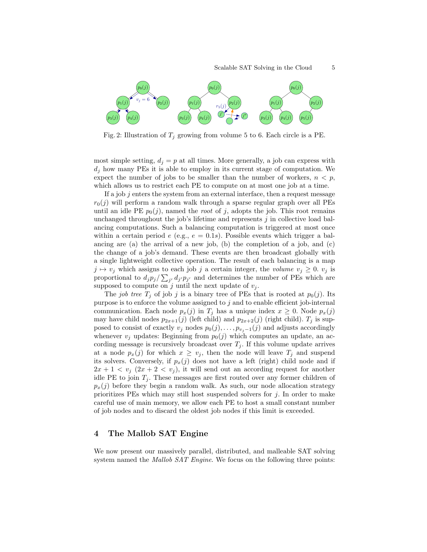

Fig. 2: Illustration of  $T_i$  growing from volume 5 to 6. Each circle is a PE.

most simple setting,  $d_j = p$  at all times. More generally, a job can express with  $d_i$  how many PEs it is able to employ in its current stage of computation. We expect the number of jobs to be smaller than the number of workers,  $n < p$ , which allows us to restrict each PE to compute on at most one job at a time.

If a job  $j$  enters the system from an external interface, then a request message  $r_0(j)$  will perform a random walk through a sparse regular graph over all PEs until an idle PE  $p_0(j)$ , named the *root* of j, adopts the job. This root remains unchanged throughout the job's lifetime and represents  $j$  in collective load balancing computations. Such a balancing computation is triggered at most once within a certain period  $e$  (e.g.,  $e = 0.1s$ ). Possible events which trigger a balancing are (a) the arrival of a new job, (b) the completion of a job, and (c) the change of a job's demand. These events are then broadcast globally with a single lightweight collective operation. The result of each balancing is a map  $j \mapsto v_j$  which assigns to each job j a certain integer, the volume  $v_j \geq 0$ .  $v_j$  is proportional to  $d_j p_j / \sum_{j'} d_{j'} p_{j'}$  and determines the number of PEs which are supposed to compute on j until the next update of  $v_j$ .

The job tree  $T_i$  of job j is a binary tree of PEs that is rooted at  $p_0(j)$ . Its purpose is to enforce the volume assigned to  $j$  and to enable efficient job-internal communication. Each node  $p_x(j)$  in  $T_j$  has a unique index  $x \geq 0$ . Node  $p_x(j)$ may have child nodes  $p_{2x+1}(j)$  (left child) and  $p_{2x+2}(j)$  (right child).  $T_j$  is supposed to consist of exactly  $v_j$  nodes  $p_0(j), \ldots, p_{v_j-1}(j)$  and adjusts accordingly whenever  $v_j$  updates: Beginning from  $p_0(j)$  which computes an update, an according message is recursively broadcast over  $T_j$ . If this volume update arrives at a node  $p_x(j)$  for which  $x \geq v_j$ , then the node will leave  $T_j$  and suspend its solvers. Conversely, if  $p_x(j)$  does not have a left (right) child node and if  $2x + 1 < v<sub>j</sub>$   $(2x + 2 < v<sub>j</sub>)$ , it will send out an according request for another idle PE to join  $T_i$ . These messages are first routed over any former children of  $p_x(j)$  before they begin a random walk. As such, our node allocation strategy prioritizes PEs which may still host suspended solvers for  $j$ . In order to make careful use of main memory, we allow each PE to host a small constant number of job nodes and to discard the oldest job nodes if this limit is exceeded.

### <span id="page-4-0"></span>4 The Mallob SAT Engine

We now present our massively parallel, distributed, and malleable SAT solving system named the Mallob SAT Engine. We focus on the following three points: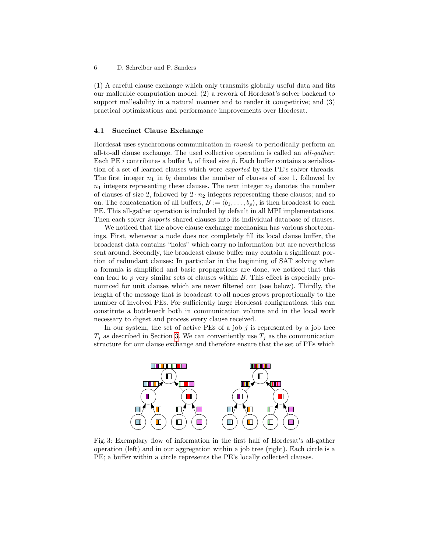(1) A careful clause exchange which only transmits globally useful data and fits our malleable computation model; (2) a rework of Hordesat's solver backend to support malleability in a natural manner and to render it competitive; and (3) practical optimizations and performance improvements over Hordesat.

#### 4.1 Succinct Clause Exchange

Hordesat uses synchronous communication in rounds to periodically perform an all-to-all clause exchange. The used collective operation is called an  $all\text{-}gather:$ Each PE *i* contributes a buffer  $b_i$  of fixed size  $\beta$ . Each buffer contains a serialization of a set of learned clauses which were exported by the PE's solver threads. The first integer  $n_1$  in  $b_i$  denotes the number of clauses of size 1, followed by  $n_1$  integers representing these clauses. The next integer  $n_2$  denotes the number of clauses of size 2, followed by  $2 \cdot n_2$  integers representing these clauses; and so on. The concatenation of all buffers,  $B := \langle b_1, \ldots, b_p \rangle$ , is then broadcast to each PE. This all-gather operation is included by default in all MPI implementations. Then each solver *imports* shared clauses into its individual database of clauses.

We noticed that the above clause exchange mechanism has various shortcomings. First, whenever a node does not completely fill its local clause buffer, the broadcast data contains "holes" which carry no information but are nevertheless sent around. Secondly, the broadcast clause buffer may contain a significant portion of redundant clauses: In particular in the beginning of SAT solving when a formula is simplified and basic propagations are done, we noticed that this can lead to  $p$  very similar sets of clauses within  $B$ . This effect is especially pronounced for unit clauses which are never filtered out (see below). Thirdly, the length of the message that is broadcast to all nodes grows proportionally to the number of involved PEs. For sufficiently large Hordesat configurations, this can constitute a bottleneck both in communication volume and in the local work necessary to digest and process every clause received.

In our system, the set of active PEs of a job  $j$  is represented by a job tree  $T_j$  as described in Section [3.](#page-3-3) We can conveniently use  $T_j$  as the communication structure for our clause exchange and therefore ensure that the set of PEs which



Fig. 3: Exemplary flow of information in the first half of Hordesat's all-gather operation (left) and in our aggregation within a job tree (right). Each circle is a PE; a buffer within a circle represents the PE's locally collected clauses.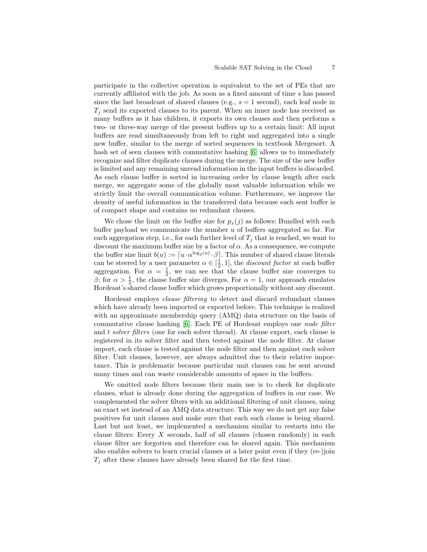participate in the collective operation is equivalent to the set of PEs that are currently affiliated with the job. As soon as a fixed amount of time s has passed since the last broadcast of shared clauses (e.g.,  $s = 1$  second), each leaf node in  $T_i$  send its exported clauses to its parent. When an inner node has received as many buffers as it has children, it exports its own clauses and then performs a two- or three-way merge of the present buffers up to a certain limit: All input buffers are read simultaneously from left to right and aggregated into a single new buffer, similar to the merge of sorted sequences in textbook Mergesort. A hash set of seen clauses with commutative hashing  $[6]$  allows us to immediately recognize and filter duplicate clauses during the merge. The size of the new buffer is limited and any remaining unread information in the input buffers is discarded. As each clause buffer is sorted in increasing order by clause length after each merge, we aggregate some of the globally most valuable information while we strictly limit the overall communication volume. Furthermore, we improve the density of useful information in the transferred data because each sent buffer is of compact shape and contains no redundant clauses.

We chose the limit on the buffer size for  $p_x(j)$  as follows: Bundled with each buffer payload we communicate the number  $u$  of buffers aggregated so far. For each aggregation step, i.e., for each further level of  $T_i$  that is reached, we want to discount the maximum buffer size by a factor of  $\alpha$ . As a consequence, we compute the buffer size limit  $b(u) := [u \cdot \alpha^{\log_2(u)} \cdot \beta]$ . This number of shared clause literals can be steered by a user parameter  $\alpha \in [\frac{1}{2}, 1]$ , the *discount factor* at each buffer aggregation. For  $\alpha = \frac{1}{2}$ , we can see that the clause buffer size converges to β; for  $\alpha > \frac{1}{2}$ , the clause buffer size diverges. For  $\alpha = 1$ , our approach emulates Hordesat's shared clause buffer which grows proportionally without any discount.

Hordesat employs clause filtering to detect and discard redundant clauses which have already been imported or exported before. This technique is realized with an approximate membership query (AMQ) data structure on the basis of commutative clause hashing [\[6\]](#page-15-3). Each PE of Hordesat employs one node filter and t solver filters (one for each solver thread). At clause export, each clause is registered in its solver filter and then tested against the node filter. At clause import, each clause is tested against the node filter and then against each solver filter. Unit clauses, however, are always admitted due to their relative importance. This is problematic because particular unit clauses can be sent around many times and can waste considerable amounts of space in the buffers.

We omitted node filters because their main use is to check for duplicate clauses, what is already done during the aggregation of buffers in our case. We complemented the solver filters with an additional filtering of unit clauses, using an exact set instead of an AMQ data structure. This way we do not get any false positives for unit clauses and make sure that each such clause is being shared. Last but not least, we implemented a mechanism similar to restarts into the clause filters: Every  $X$  seconds, half of all clauses (chosen randomly) in each clause filter are forgotten and therefore can be shared again. This mechanism also enables solvers to learn crucial clauses at a later point even if they (re-)join  $T_i$  after these clauses have already been shared for the first time.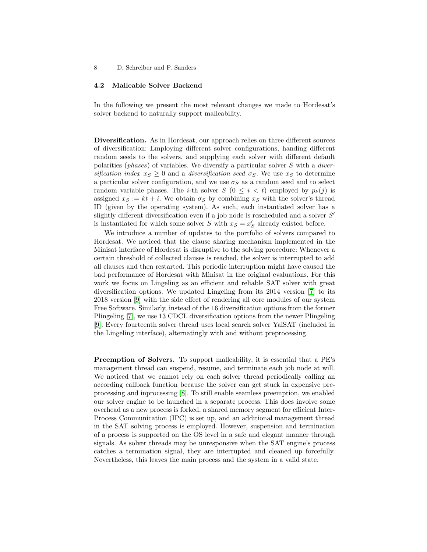#### 4.2 Malleable Solver Backend

In the following we present the most relevant changes we made to Hordesat's solver backend to naturally support malleability.

Diversification. As in Hordesat, our approach relies on three different sources of diversification: Employing different solver configurations, handing different random seeds to the solvers, and supplying each solver with different default polarities (*phases*) of variables. We diversify a particular solver  $S$  with a *diver*sification index  $x_S \geq 0$  and a diversification seed  $\sigma_S$ . We use  $x_S$  to determine a particular solver configuration, and we use  $\sigma_S$  as a random seed and to select random variable phases. The *i*-th solver  $S$  ( $0 \le i \le t$ ) employed by  $p_k(j)$  is assigned  $x_S := kt + i$ . We obtain  $\sigma_S$  by combining  $x_S$  with the solver's thread ID (given by the operating system). As such, each instantiated solver has a slightly different diversification even if a job node is rescheduled and a solver  $S'$ is instantiated for which some solver S with  $x_S = x'_S$  already existed before.

We introduce a number of updates to the portfolio of solvers compared to Hordesat. We noticed that the clause sharing mechanism implemented in the Minisat interface of Hordesat is disruptive to the solving procedure: Whenever a certain threshold of collected clauses is reached, the solver is interrupted to add all clauses and then restarted. This periodic interruption might have caused the bad performance of Hordesat with Minisat in the original evaluations. For this work we focus on Lingeling as an efficient and reliable SAT solver with great diversification options. We updated Lingeling from its 2014 version [\[7\]](#page-15-13) to its 2018 version [\[9\]](#page-15-14) with the side effect of rendering all core modules of our system Free Software. Similarly, instead of the 16 diversification options from the former Plingeling [\[7\]](#page-15-13), we use 13 CDCL diversification options from the newer Plingeling [\[9\]](#page-15-14). Every fourteenth solver thread uses local search solver YalSAT (included in the Lingeling interface), alternatingly with and without preprocessing.

Preemption of Solvers. To support malleability, it is essential that a PE's management thread can suspend, resume, and terminate each job node at will. We noticed that we cannot rely on each solver thread periodically calling an according callback function because the solver can get stuck in expensive preprocessing and inprocessing [\[8\]](#page-15-15). To still enable seamless preemption, we enabled our solver engine to be launched in a separate process. This does involve some overhead as a new process is forked, a shared memory segment for efficient Inter-Process Communication (IPC) is set up, and an additional management thread in the SAT solving process is employed. However, suspension and termination of a process is supported on the OS level in a safe and elegant manner through signals. As solver threads may be unresponsive when the SAT engine's process catches a termination signal, they are interrupted and cleaned up forcefully. Nevertheless, this leaves the main process and the system in a valid state.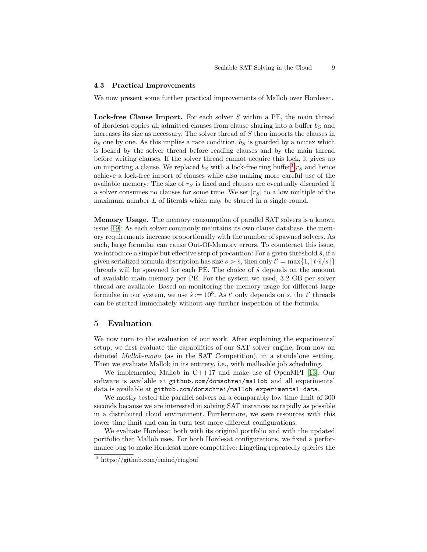#### 4.3 Practical Improvements

We now present some further practical improvements of Mallob over Hordesat.

Lock-free Clause Import. For each solver S within a PE, the main thread of Hordesat copies all admitted clauses from clause sharing into a buffer  $b_S$  and increases its size as necessary. The solver thread of S then imports the clauses in  $b_S$  one by one. As this implies a race condition,  $b_S$  is guarded by a mutex which is locked by the solver thread before reading clauses and by the main thread before writing clauses. If the solver thread cannot acquire this lock, it gives up on importing a clause. We replaced  $b_S$  with a lock-free ring buffer<sup>[3](#page-8-1)</sup>  $r_S$  and hence achieve a lock-free import of clauses while also making more careful use of the available memory: The size of  $r<sub>S</sub>$  is fixed and clauses are eventually discarded if a solver consumes no clauses for some time. We set  $|r<sub>S</sub>|$  to a low multiple of the maximum number L of literals which may be shared in a single round.

Memory Usage. The memory consumption of parallel SAT solvers is a known issue [\[19\]](#page-15-10): As each solver commonly maintains its own clause database, the memory requirements increase proportionally with the number of spawned solvers. As such, large formulae can cause Out-Of-Memory errors. To counteract this issue, we introduce a simple but effective step of precaution: For a given threshold  $\hat{s}$ , if a given serialized formula description has size  $s > \hat{s}$ , then only  $t' = \max\{1, \lfloor t \cdot \hat{s}/s \rfloor\}$ threads will be spawned for each PE. The choice of  $\hat{s}$  depends on the amount of available main memory per PE. For the system we used, 3.2 GB per solver thread are available: Based on monitoring the memory usage for different large formulae in our system, we use  $\hat{s} := 10^8$ . As t' only depends on s, the t' threads can be started immediately without any further inspection of the formula.

### <span id="page-8-0"></span>5 Evaluation

We now turn to the evaluation of our work. After explaining the experimental setup, we first evaluate the capabilities of our SAT solver engine, from now on denoted Mallob-mono (as in the SAT Competition), in a standalone setting. Then we evaluate Mallob in its entirety, i.e., with malleable job scheduling.

We implemented Mallob in C++17 and make use of OpenMPI [\[13\]](#page-15-16). Our software is available at github.com/domschrei/mallob and all experimental data is available at github.com/domschrei/mallob-experimental-data.

We mostly tested the parallel solvers on a comparably low time limit of 300 seconds because we are interested in solving SAT instances as rapidly as possible in a distributed cloud environment. Furthermore, we save resources with this lower time limit and can in turn test more different configurations.

We evaluate Hordesat both with its original portfolio and with the updated portfolio that Mallob uses. For both Hordesat configurations, we fixed a performance bug to make Hordesat more competitive: Lingeling repeatedly queries the

<span id="page-8-1"></span><sup>3</sup> https://github.com/rmind/ringbuf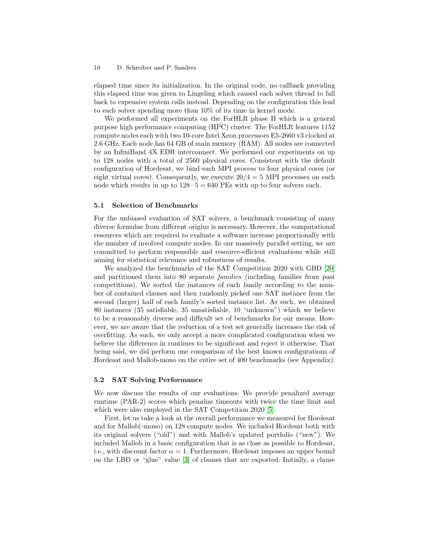#### 10 D. Schreiber and P. Sanders

elapsed time since its initialization. In the original code, no callback providing this elapsed time was given to Lingeling which caused each solver thread to fall back to expensive system calls instead. Depending on the configuration this lead to each solver spending more than 10% of its time in kernel mode.

We performed all experiments on the ForHLR phase II which is a general purpose high performance computing (HPC) cluster. The ForHLR features 1152 compute nodes each with two 10-core Intel Xeon processors E5-2660 v3 clocked at 2.6 GHz. Each node has 64 GB of main memory (RAM). All nodes are connected by an InfiniBand 4X EDR interconnect. We performed our experiments on up to 128 nodes with a total of 2560 physical cores. Consistent with the default configuration of Hordesat, we bind each MPI process to four physical cores (or eight virtual cores). Consequently, we execute  $20/4 = 5$  MPI processes on each node which results in up to  $128 \cdot 5 = 640$  PEs with up to four solvers each.

#### 5.1 Selection of Benchmarks

For the unbiased evaluation of SAT solvers, a benchmark consisting of many diverse formulae from different origins is necessary. However, the computational resources which are required to evaluate a software increase proportionally with the number of involved compute nodes. In our massively parallel setting, we are committed to perform responsible and resource-efficient evaluations while still aiming for statistical relevance and robustness of results.

We analyzed the benchmarks of the SAT Competition 2020 with GBD [\[20\]](#page-16-7) and partitioned them into 80 separate families (including families from past competitions). We sorted the instances of each family according to the number of contained clauses and then randomly picked one SAT instance from the second (larger) half of each family's sorted instance list. As such, we obtained 80 instances (35 satisfiable, 35 unsatisfiable, 10 "unknown") which we believe to be a reasonably diverse and difficult set of benchmarks for our means. However, we are aware that the reduction of a test set generally increases the risk of overfitting. As such, we only accept a more complicated configuration when we believe the difference in runtimes to be significant and reject it otherwise. That being said, we did perform one comparison of the best known configurations of Hordesat and Mallob-mono on the entire set of 400 benchmarks (see Appendix).

#### 5.2 SAT Solving Performance

We now discuss the results of our evaluations. We provide penalized average runtime (PAR-2) scores which penalize timeouts with twice the time limit and which were also employed in the SAT Competition 2020 [\[5\]](#page-15-11).

First, let us take a look at the overall performance we measured for Hordesat and for Mallob(-mono) on 128 compute nodes. We included Hordesat both with its original solvers ("old") and with Mallob's updated portfolio ("new"). We included Mallob in a basic configuration that is as close as possible to Hordesat, i.e., with discount factor  $\alpha = 1$ . Furthermore, Hordesat imposes an upper bound on the LBD or "glue" value [\[3\]](#page-15-17) of clauses that are exported: Initially, a clause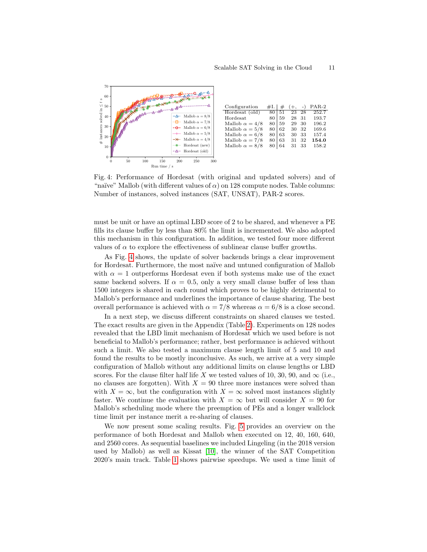<span id="page-10-0"></span>

Fig. 4: Performance of Hordesat (with original and updated solvers) and of "naïve" Mallob (with different values of  $\alpha$ ) on 128 compute nodes. Table columns: Number of instances, solved instances (SAT, UNSAT), PAR-2 scores.

must be unit or have an optimal LBD score of 2 to be shared, and whenever a PE fills its clause buffer by less than 80% the limit is incremented. We also adopted this mechanism in this configuration. In addition, we tested four more different values of  $\alpha$  to explore the effectiveness of sublinear clause buffer growths.

As Fig. [4](#page-10-0) shows, the update of solver backends brings a clear improvement for Hordesat. Furthermore, the most naïve and untuned configuration of Mallob with  $\alpha = 1$  outperforms Hordesat even if both systems make use of the exact same backend solvers. If  $\alpha = 0.5$ , only a very small clause buffer of less than 1500 integers is shared in each round which proves to be highly detrimental to Mallob's performance and underlines the importance of clause sharing. The best overall performance is achieved with  $\alpha = 7/8$  whereas  $\alpha = 6/8$  is a close second.

In a next step, we discuss different constraints on shared clauses we tested. The exact results are given in the Appendix (Table [2\)](#page-17-0). Experiments on 128 nodes revealed that the LBD limit mechanism of Hordesat which we used before is not beneficial to Mallob's performance; rather, best performance is achieved without such a limit. We also tested a maximum clause length limit of 5 and 10 and found the results to be mostly inconclusive. As such, we arrive at a very simple configuration of Mallob without any additional limits on clause lengths or LBD scores. For the clause filter half life X we tested values of 10, 30, 90, and  $\infty$  (i.e., no clauses are forgotten). With  $X = 90$  three more instances were solved than with  $X = \infty$ , but the configuration with  $X = \infty$  solved most instances slightly faster. We continue the evaluation with  $X = \infty$  but will consider  $X = 90$  for Mallob's scheduling mode where the preemption of PEs and a longer wallclock time limit per instance merit a re-sharing of clauses.

We now present some scaling results. Fig. [5](#page-11-0) provides an overview on the performance of both Hordesat and Mallob when executed on 12, 40, 160, 640, and 2560 cores. As sequential baselines we included Lingeling (in the 2018 version used by Mallob) as well as Kissat [\[10\]](#page-15-18), the winner of the SAT Competition 2020's main track. Table [1](#page-11-1) shows pairwise speedups. We used a time limit of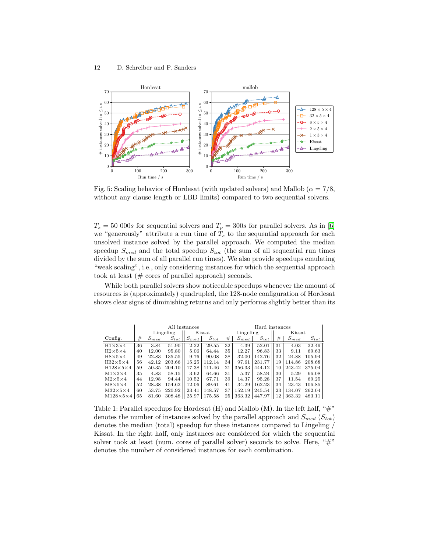<span id="page-11-0"></span>

Fig. 5: Scaling behavior of Hordesat (with updated solvers) and Mallob ( $\alpha = 7/8$ , without any clause length or LBD limits) compared to two sequential solvers.

 $T_s = 50000s$  for sequential solvers and  $T_p = 300s$  for parallel solvers. As in [\[6\]](#page-15-3) we "generously" attribute a run time of  $T<sub>s</sub>$  to the sequential approach for each unsolved instance solved by the parallel approach. We computed the median speedup  $S_{med}$  and the total speedup  $S_{tot}$  (the sum of all sequential run times divided by the sum of all parallel run times). We also provide speedups emulating "weak scaling", i.e., only considering instances for which the sequential approach took at least (# cores of parallel approach) seconds.

While both parallel solvers show noticeable speedups whenever the amount of resources is (approximately) quadrupled, the 128-node configuration of Hordesat shows clear signs of diminishing returns and only performs slightly better than its

<span id="page-11-1"></span>

|                      |    | All instances |           |           |           | Hard instances |           |           |        |           |           |
|----------------------|----|---------------|-----------|-----------|-----------|----------------|-----------|-----------|--------|-----------|-----------|
|                      |    | Lingeling     |           | Kissat    |           | Lingeling      |           |           | Kissat |           |           |
| Config.              | #  | $S_{med}$     | $S_{tot}$ | $S_{med}$ | $S_{tot}$ | #              | $S_{med}$ | $S_{tot}$ | #      | $S_{med}$ | $S_{tot}$ |
| $H1\times3\times4$   | 36 | 3.84          | 51.90     | 2.22      | 29.55     | 32             | 4.39      | 52.01     | 31     | 4.03      | 32.49     |
| $H2\times5\times4$   | 40 | 12.00         | 95.80     | 5.06      | 64.44     | 35             | 12.27     | 96.83     | 33     | 9.11      | 69.63     |
| $H8\times5\times4$   | 49 | 22.83         | 135.55    | 9.76      | 90.08     | 38             | 32.00     | 142.76    | 32     | 24.88     | 105.94    |
| $H32\times5\times4$  | 56 | 42.12         | 203.66    | 15.25     | 112.14    | 34             | 97.61     | 231.77    | 19     | 114.86    | 208.68    |
| $H128\times5\times4$ | 59 | 50.35         | 204.10    | 17.38     | 111.46    | 21             | 356.33    | 444.12    | 10     | 243.42    | 375.04    |
| $M1\times3\times4$   | 35 | 4.83          | 58.15     | 3.62      | 64.66     | 31             | 5.37      | 58.24     | 30     | 5.29      | 66.08     |
| $M2\times5\times4$   | 44 | 12.98         | 94.44     | 10.52     | 67.71     | 39             | 14.37     | 95.28     | 37     | 11.54     | 69.25     |
| $M8\times5\times4$   | 52 | 28.38         | 154.62    | 12.06     | 89.61     | 41             | 34.29     | 162.23    | 34     | 23.43     | 106.85    |
| $M32\times5\times4$  | 60 | 53.75         | 220.92    | 23.41     | 148.57    | 37             | 152.19    | 245.54    | 23     | 134.07    | 262.04    |
| $M128\times5\times4$ | 65 | 81.60         | 308.48    | 25.97     | 175.58    | 25             | 363.32    | 447.97    | 12     | 363.32    | 483.11    |

Table 1: Parallel speedups for Hordesat  $(H)$  and Mallob  $(M)$ . In the left half, " $\#$ " denotes the number of instances solved by the parallel approach and  $S_{med}$  ( $S_{tot}$ ) denotes the median (total) speedup for these instances compared to Lingeling / Kissat. In the right half, only instances are considered for which the sequential solver took at least (num. cores of parallel solver) seconds to solve. Here, " $\#$ " denotes the number of considered instances for each combination.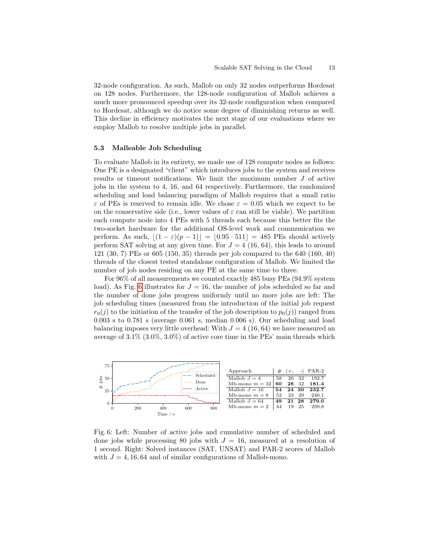32-node configuration. As such, Mallob on only 32 nodes outperforms Hordesat on 128 nodes. Furthermore, the 128-node configuration of Mallob achieves a much more pronounced speedup over its 32-node configuration when compared to Hordesat, although we do notice some degree of diminishing returns as well. This decline in efficiency motivates the next stage of our evaluations where we employ Mallob to resolve multiple jobs in parallel.

#### 5.3 Malleable Job Scheduling

To evaluate Mallob in its entirety, we made use of 128 compute nodes as follows: One PE is a designated "client" which introduces jobs to the system and receives results or timeout notifications. We limit the maximum number J of active jobs in the system to 4, 16, and 64 respectively. Furthermore, the randomized scheduling and load balancing paradigm of Mallob requires that a small ratio  $\varepsilon$  of PEs is reserved to remain idle. We chose  $\varepsilon = 0.05$  which we expect to be on the conservative side (i.e., lower values of  $\varepsilon$  can still be viable). We partition each compute node into 4 PEs with 5 threads each because this better fits the two-socket hardware for the additional OS-level work and communication we perform. As such,  $|(1 - \varepsilon)(p - 1)| = |0.95 \cdot 511| = 485$  PEs should actively perform SAT solving at any given time. For  $J = 4$  (16, 64), this leads to around 121 (30, 7) PEs or 605 (150, 35) threads per job compared to the 640 (160, 40) threads of the closest tested standalone configuration of Mallob. We limited the number of job nodes residing on any PE at the same time to three.

For 96% of all measurements we counted exactly 485 busy PEs (94.9% system load). As Fig. [6](#page-12-0) illustrates for  $J = 16$ , the number of jobs scheduled so far and the number of done jobs progress uniformly until no more jobs are left: The job scheduling times (measured from the introduction of the initial job request  $r_0(i)$  to the initiation of the transfer of the job description to  $p_0(i)$  ranged from 0.003 s to 0.781 s (average 0.061 s, median 0.006 s). Our scheduling and load balancing imposes very little overhead: With  $J = 4$  (16, 64) we have measured an average of 3.1% (3.0%, 3.0%) of active core time in the PEs' main threads which

<span id="page-12-0"></span>

Fig. 6: Left: Number of active jobs and cumulative number of scheduled and done jobs while processing 80 jobs with  $J = 16$ , measured at a resolution of 1 second. Right: Solved instances (SAT, UNSAT) and PAR-2 scores of Mallob with  $J = 4, 16, 64$  and of similar configurations of Mallob-mono.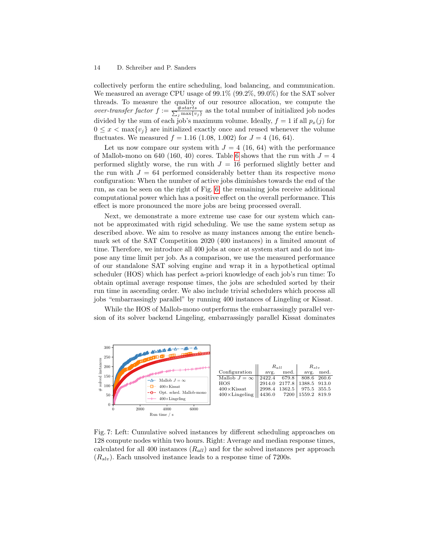#### 14 D. Schreiber and P. Sanders

collectively perform the entire scheduling, load balancing, and communication. We measured an average CPU usage of 99.1% (99.2%, 99.0%) for the SAT solver threads. To measure the quality of our resource allocation, we compute the over-transfer factor  $f := \frac{\# starts}{\sum_j \max\{v_j\}}$  as the total number of initialized job nodes divided by the sum of each job's maximum volume. Ideally,  $f = 1$  if all  $p_x(j)$  for  $0 \leq x < \max\{v_i\}$  are initialized exactly once and reused whenever the volume fluctuates. We measured  $f = 1.16$  (1.08, 1.002) for  $J = 4$  (16, 64).

Let us now compare our system with  $J = 4$  (16, 64) with the performance of Mallob-mono on [6](#page-12-0)40 (160, 40) cores. Table 6 shows that the run with  $J = 4$ performed slightly worse, the run with  $J = 16$  performed slightly better and the run with  $J = 64$  performed considerably better than its respective mono configuration: When the number of active jobs diminishes towards the end of the run, as can be seen on the right of Fig. [6,](#page-12-0) the remaining jobs receive additional computational power which has a positive effect on the overall performance. This effect is more pronounced the more jobs are being processed overall.

Next, we demonstrate a more extreme use case for our system which cannot be approximated with rigid scheduling. We use the same system setup as described above. We aim to resolve as many instances among the entire benchmark set of the SAT Competition 2020 (400 instances) in a limited amount of time. Therefore, we introduce all 400 jobs at once at system start and do not impose any time limit per job. As a comparison, we use the measured performance of our standalone SAT solving engine and wrap it in a hypothetical optimal scheduler (HOS) which has perfect a-priori knowledge of each job's run time: To obtain optimal average response times, the jobs are scheduled sorted by their run time in ascending order. We also include trivial schedulers which process all jobs "embarrassingly parallel" by running 400 instances of Lingeling or Kissat.

While the HOS of Mallob-mono outperforms the embarrassingly parallel version of its solver backend Lingeling, embarrassingly parallel Kissat dominates



Fig. 7: Left: Cumulative solved instances by different scheduling approaches on 128 compute nodes within two hours. Right: Average and median response times, calculated for all 400 instances  $(R_{all})$  and for the solved instances per approach  $(R_{slv})$ . Each unsolved instance leads to a response time of 7200s.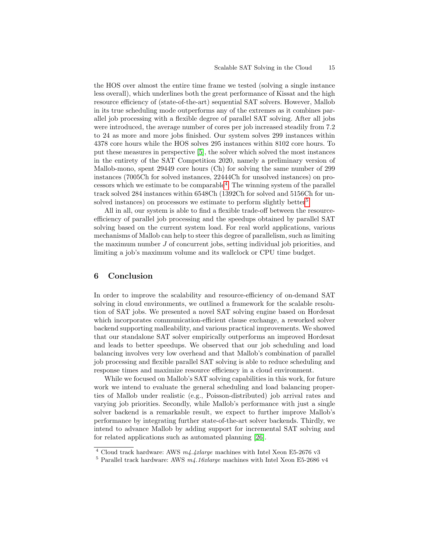the HOS over almost the entire time frame we tested (solving a single instance less overall), which underlines both the great performance of Kissat and the high resource efficiency of (state-of-the-art) sequential SAT solvers. However, Mallob in its true scheduling mode outperforms any of the extremes as it combines parallel job processing with a flexible degree of parallel SAT solving. After all jobs were introduced, the average number of cores per job increased steadily from 7.2 to 24 as more and more jobs finished. Our system solves 299 instances within 4378 core hours while the HOS solves 295 instances within 8102 core hours. To put these measures in perspective [\[5\]](#page-15-11), the solver which solved the most instances in the entirety of the SAT Competition 2020, namely a preliminary version of Mallob-mono, spent 29449 core hours (Ch) for solving the same number of 299 instances (7005Ch for solved instances, 22444Ch for unsolved instances) on pro- $\alpha$  cessors which we estimate to be comparable<sup>[4](#page-14-1)</sup>. The winning system of the parallel track solved 284 instances within 6548Ch (1392Ch for solved and 5156Ch for un-solved instances) on processors we estimate to perform slightly better<sup>[5](#page-14-2)</sup>.

All in all, our system is able to find a flexible trade-off between the resourceefficiency of parallel job processing and the speedups obtained by parallel SAT solving based on the current system load. For real world applications, various mechanisms of Mallob can help to steer this degree of parallelism, such as limiting the maximum number J of concurrent jobs, setting individual job priorities, and limiting a job's maximum volume and its wallclock or CPU time budget.

### <span id="page-14-0"></span>6 Conclusion

In order to improve the scalability and resource-efficiency of on-demand SAT solving in cloud environments, we outlined a framework for the scalable resolution of SAT jobs. We presented a novel SAT solving engine based on Hordesat which incorporates communication-efficient clause exchange, a reworked solver backend supporting malleability, and various practical improvements. We showed that our standalone SAT solver empirically outperforms an improved Hordesat and leads to better speedups. We observed that our job scheduling and load balancing involves very low overhead and that Mallob's combination of parallel job processing and flexible parallel SAT solving is able to reduce scheduling and response times and maximize resource efficiency in a cloud environment.

While we focused on Mallob's SAT solving capabilities in this work, for future work we intend to evaluate the general scheduling and load balancing properties of Mallob under realistic (e.g., Poisson-distributed) job arrival rates and varying job priorities. Secondly, while Mallob's performance with just a single solver backend is a remarkable result, we expect to further improve Mallob's performance by integrating further state-of-the-art solver backends. Thirdly, we intend to advance Mallob by adding support for incremental SAT solving and for related applications such as automated planning [\[26\]](#page-16-1).

<span id="page-14-1"></span><sup>&</sup>lt;sup>4</sup> Cloud track hardware: AWS  $m4.4x$ large machines with Intel Xeon E5-2676 v3

<span id="page-14-2"></span><sup>&</sup>lt;sup>5</sup> Parallel track hardware: AWS  $m4.16x$ large machines with Intel Xeon E5-2686 v4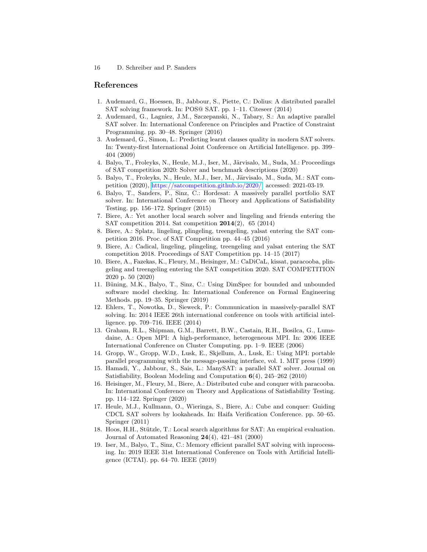### References

- <span id="page-15-6"></span>1. Audemard, G., Hoessen, B., Jabbour, S., Piette, C.: Dolius: A distributed parallel SAT solving framework. In: POS@ SAT. pp. 1–11. Citeseer (2014)
- <span id="page-15-7"></span>2. Audemard, G., Lagniez, J.M., Szczepanski, N., Tabary, S.: An adaptive parallel SAT solver. In: International Conference on Principles and Practice of Constraint Programming. pp. 30–48. Springer (2016)
- <span id="page-15-17"></span>3. Audemard, G., Simon, L.: Predicting learnt clauses quality in modern SAT solvers. In: Twenty-first International Joint Conference on Artificial Intelligence. pp. 399– 404 (2009)
- <span id="page-15-2"></span>4. Balyo, T., Froleyks, N., Heule, M.J., Iser, M., Järvisalo, M., Suda, M.: Proceedings of SAT competition 2020: Solver and benchmark descriptions (2020)
- <span id="page-15-11"></span>5. Balyo, T., Froleyks, N., Heule, M.J., Iser, M., Järvisalo, M., Suda, M.: SAT competition (2020), [https://satcompetition.github.io/2020/,](https://satcompetition.github.io/2020/) accessed: 2021-03-19.
- <span id="page-15-3"></span>6. Balyo, T., Sanders, P., Sinz, C.: Hordesat: A massively parallel portfolio SAT solver. In: International Conference on Theory and Applications of Satisfiability Testing. pp. 156–172. Springer (2015)
- <span id="page-15-13"></span>7. Biere, A.: Yet another local search solver and lingeling and friends entering the SAT competition 2014. Sat competition 2014(2), 65 (2014)
- <span id="page-15-15"></span>8. Biere, A.: Splatz, lingeling, plingeling, treengeling, yalsat entering the SAT competition 2016. Proc. of SAT Competition pp. 44–45 (2016)
- <span id="page-15-14"></span>9. Biere, A.: Cadical, lingeling, plingeling, treengeling and yalsat entering the SAT competition 2018. Proceedings of SAT Competition pp. 14–15 (2017)
- <span id="page-15-18"></span>10. Biere, A., Fazekas, K., Fleury, M., Heisinger, M.: CaDiCaL, kissat, paracooba, plingeling and treengeling entering the SAT competition 2020. SAT COMPETITION 2020 p. 50 (2020)
- <span id="page-15-0"></span>11. Büning, M.K., Balyo, T., Sinz, C.: Using DimSpec for bounded and unbounded software model checking. In: International Conference on Formal Engineering Methods. pp. 19–35. Springer (2019)
- <span id="page-15-9"></span>12. Ehlers, T., Nowotka, D., Sieweck, P.: Communication in massively-parallel SAT solving. In: 2014 IEEE 26th international conference on tools with artificial intelligence. pp. 709–716. IEEE (2014)
- <span id="page-15-16"></span>13. Graham, R.L., Shipman, G.M., Barrett, B.W., Castain, R.H., Bosilca, G., Lumsdaine, A.: Open MPI: A high-performance, heterogeneous MPI. In: 2006 IEEE International Conference on Cluster Computing. pp. 1–9. IEEE (2006)
- <span id="page-15-12"></span>14. Gropp, W., Gropp, W.D., Lusk, E., Skjellum, A., Lusk, E.: Using MPI: portable parallel programming with the message-passing interface, vol. 1. MIT press (1999)
- <span id="page-15-5"></span>15. Hamadi, Y., Jabbour, S., Sais, L.: ManySAT: a parallel SAT solver. Journal on Satisfiability, Boolean Modeling and Computation 6(4), 245–262 (2010)
- <span id="page-15-1"></span>16. Heisinger, M., Fleury, M., Biere, A.: Distributed cube and conquer with paracooba. In: International Conference on Theory and Applications of Satisfiability Testing. pp. 114–122. Springer (2020)
- <span id="page-15-8"></span>17. Heule, M.J., Kullmann, O., Wieringa, S., Biere, A.: Cube and conquer: Guiding CDCL SAT solvers by lookaheads. In: Haifa Verification Conference. pp. 50–65. Springer (2011)
- <span id="page-15-4"></span>18. Hoos, H.H., Stützle, T.: Local search algorithms for SAT: An empirical evaluation. Journal of Automated Reasoning  $24(4)$ ,  $421-481$  (2000)
- <span id="page-15-10"></span>19. Iser, M., Balyo, T., Sinz, C.: Memory efficient parallel SAT solving with inprocessing. In: 2019 IEEE 31st International Conference on Tools with Artificial Intelligence (ICTAI). pp. 64–70. IEEE (2019)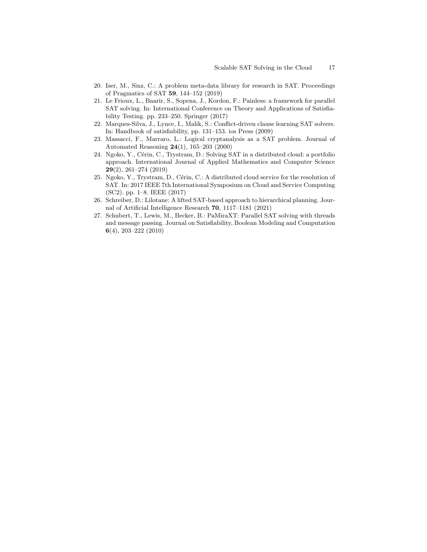- <span id="page-16-7"></span>20. Iser, M., Sinz, C.: A problem meta-data library for research in SAT. Proceedings of Pragmatics of SAT 59, 144–152 (2019)
- <span id="page-16-5"></span>21. Le Frioux, L., Baarir, S., Sopena, J., Kordon, F.: Painless: a framework for parallel SAT solving. In: International Conference on Theory and Applications of Satisfiability Testing. pp. 233–250. Springer (2017)
- <span id="page-16-3"></span>22. Marques-Silva, J., Lynce, I., Malik, S.: Conflict-driven clause learning SAT solvers. In: Handbook of satisfiability, pp. 131–153. ios Press (2009)
- <span id="page-16-0"></span>23. Massacci, F., Marraro, L.: Logical cryptanalysis as a SAT problem. Journal of Automated Reasoning 24(1), 165–203 (2000)
- <span id="page-16-6"></span>24. Ngoko, Y., Cérin, C., Trystram, D.: Solving SAT in a distributed cloud: a portfolio approach. International Journal of Applied Mathematics and Computer Science 29(2), 261–274 (2019)
- <span id="page-16-2"></span>25. Ngoko, Y., Trystram, D., Cérin, C.: A distributed cloud service for the resolution of SAT. In: 2017 IEEE 7th International Symposium on Cloud and Service Computing (SC2). pp. 1–8. IEEE (2017)
- <span id="page-16-1"></span>26. Schreiber, D.: Lilotane: A lifted SAT-based approach to hierarchical planning. Journal of Artificial Intelligence Research 70, 1117–1181 (2021)
- <span id="page-16-4"></span>27. Schubert, T., Lewis, M., Becker, B.: PaMiraXT: Parallel SAT solving with threads and message passing. Journal on Satisfiability, Boolean Modeling and Computation 6(4), 203–222 (2010)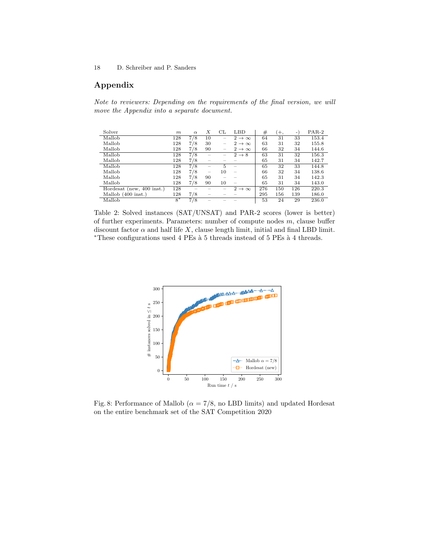## Appendix

Note to reviewers: Depending on the requirements of the final version, we will move the Appendix into a separate document.

<span id="page-17-0"></span>

| Solver                    | m    | $\alpha$ | Х  | CL                       | LBD                      | #   | $+$ , | ۰   | $PAR-2$ |
|---------------------------|------|----------|----|--------------------------|--------------------------|-----|-------|-----|---------|
| Mallob                    | 128  | 7/8      | 10 | $\overline{\phantom{a}}$ | $2 \rightarrow \infty$   | 64  | 31    | 33  | 153.4   |
| Mallob                    | 128  | 7/8      | 30 | $\overline{\phantom{a}}$ | $2 \rightarrow \infty$   | 63  | 31    | 32  | 155.8   |
| Mallob                    | 128  | 7/8      | 90 |                          | $2 \rightarrow \infty$   | 66  | 32    | 34  | 144.6   |
| Mallob                    | 128  | 7/8      |    |                          | $2 \rightarrow 8$        | 63  | 31    | 32  | 156.3   |
| Mallob                    | 128  | 7/8      |    |                          |                          | 65  | 31    | 34  | 142.7   |
| Mallob                    | 128  | 7/8      |    | 5                        |                          | 65  | 32    | 33  | 144.8   |
| Mallob                    | 128  | 7/8      |    | 10                       |                          | 66  | 32    | 34  | 138.6   |
| Mallob                    | 128  | 7/8      | 90 |                          |                          | 65  | 31    | 34  | 142.3   |
| Mallob                    | 128  | 7/8      | 90 | 10                       | $\overline{\phantom{a}}$ | 65  | 31    | 34  | 143.0   |
| Hordesat (new, 400 inst.) | 128  |          |    |                          | $2 \rightarrow \infty$   | 276 | 150   | 126 | 220.3   |
| Mallob $(400$ inst.)      | 128  | 7/8      |    |                          |                          | 295 | 156   | 139 | 186.0   |
| Mallob                    | $8*$ | 7/8      |    |                          |                          | 53  | 24    | 29  | 236.0   |

Table 2: Solved instances (SAT/UNSAT) and PAR-2 scores (lower is better) of further experiments. Parameters: number of compute nodes  $m$ , clause buffer discount factor  $\alpha$  and half life X, clause length limit, initial and final LBD limit.  $*$ These configurations used 4 PEs à 5 threads instead of 5 PEs à 4 threads.



Fig. 8: Performance of Mallob ( $\alpha = 7/8$ , no LBD limits) and updated Hordesat on the entire benchmark set of the SAT Competition 2020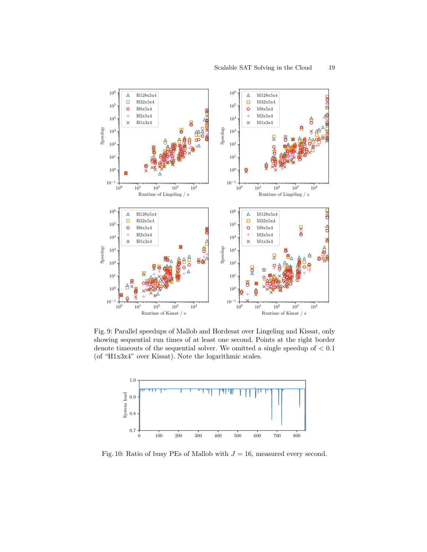

Fig. 9: Parallel speedups of Mallob and Hordesat over Lingeling and Kissat, only showing sequential run times of at least one second. Points at the right border denote timeouts of the sequential solver. We omitted a single speedup of  $< 0.1$ (of "H1x3x4" over Kissat). Note the logarithmic scales.



Fig. 10: Ratio of busy PEs of Mallob with  $J = 16$ , measured every second.